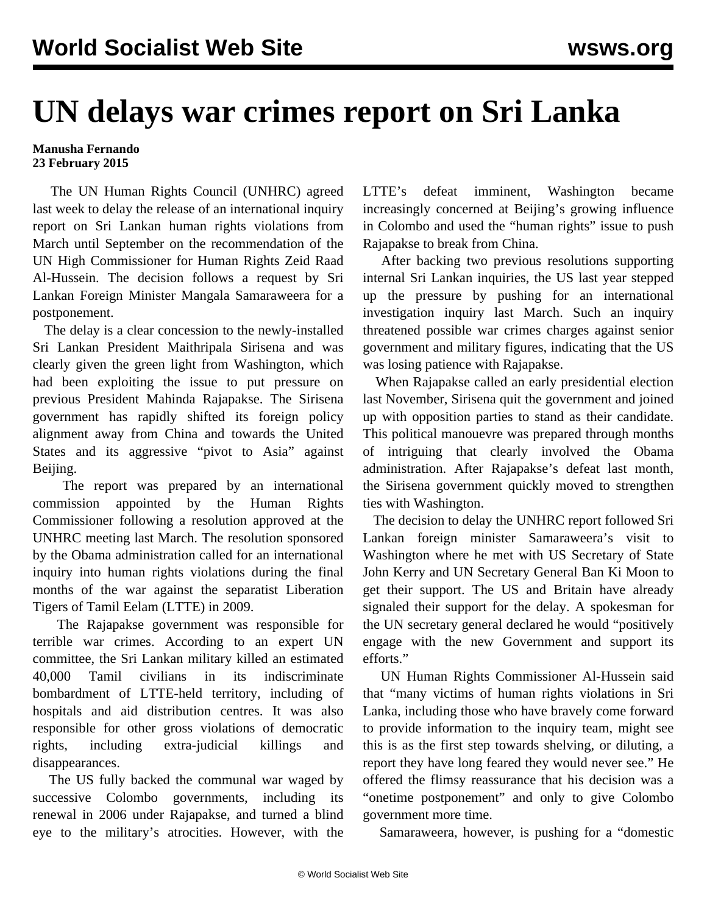## **UN delays war crimes report on Sri Lanka**

## **Manusha Fernando 23 February 2015**

 The UN Human Rights Council (UNHRC) agreed last week to delay the release of an international inquiry report on Sri Lankan human rights violations from March until September on the recommendation of the UN High Commissioner for Human Rights Zeid Raad Al-Hussein. The decision follows a request by Sri Lankan Foreign Minister Mangala Samaraweera for a postponement.

 The delay is a clear concession to the newly-installed Sri Lankan President Maithripala Sirisena and was clearly given the green light from Washington, which had been exploiting the issue to put pressure on previous President Mahinda Rajapakse. The Sirisena government has rapidly shifted its foreign policy alignment away from China and towards the United States and its aggressive "pivot to Asia" against Beijing.

 The report was prepared by an international commission appointed by the Human Rights Commissioner following a resolution approved at the UNHRC meeting last March. The resolution sponsored by the Obama administration called for an international inquiry into human rights violations during the final months of the war against the separatist Liberation Tigers of Tamil Eelam (LTTE) in 2009.

 The Rajapakse government was responsible for terrible war crimes. According to an expert UN committee, the Sri Lankan military killed an estimated 40,000 Tamil civilians in its indiscriminate bombardment of LTTE-held territory, including of hospitals and aid distribution centres. It was also responsible for other gross violations of democratic rights, including extra-judicial killings and disappearances.

 The US fully backed the communal war waged by successive Colombo governments, including its renewal in 2006 under Rajapakse, and turned a blind eye to the military's atrocities. However, with the LTTE's defeat imminent, Washington became increasingly concerned at Beijing's growing influence in Colombo and used the "human rights" issue to push Rajapakse to break from China.

 After backing two previous resolutions supporting internal Sri Lankan inquiries, the US last year stepped up the pressure by pushing for an international investigation inquiry last March. Such an inquiry threatened possible war crimes charges against senior government and military figures, indicating that the US was losing patience with Rajapakse.

 When Rajapakse called an early presidential election last November, Sirisena quit the government and joined up with opposition parties to stand as their candidate. This political manouevre was prepared through months of intriguing that clearly involved the Obama administration. After Rajapakse's defeat last month, the Sirisena government quickly moved to strengthen ties with Washington.

 The decision to delay the UNHRC report followed Sri Lankan foreign minister Samaraweera's visit to Washington where he met with US Secretary of State John Kerry and UN Secretary General Ban Ki Moon to get their support. The US and Britain have already signaled their support for the delay. A spokesman for the UN secretary general declared he would "positively engage with the new Government and support its efforts."

 UN Human Rights Commissioner Al-Hussein said that "many victims of human rights violations in Sri Lanka, including those who have bravely come forward to provide information to the inquiry team, might see this is as the first step towards shelving, or diluting, a report they have long feared they would never see." He offered the flimsy reassurance that his decision was a "onetime postponement" and only to give Colombo government more time.

Samaraweera, however, is pushing for a "domestic